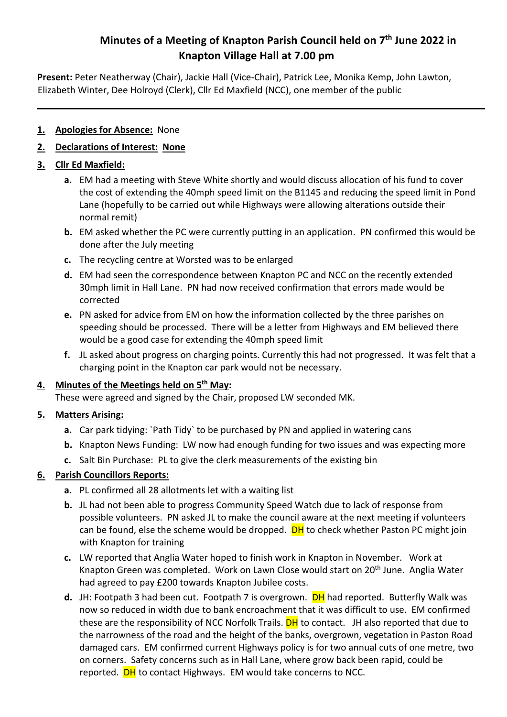# **Minutes of a Meeting of Knapton Parish Council held on 7th June 2022 in Knapton Village Hall at 7.00 pm**

**Present:** Peter Neatherway (Chair), Jackie Hall (Vice-Chair), Patrick Lee, Monika Kemp, John Lawton, Elizabeth Winter, Dee Holroyd (Clerk), Cllr Ed Maxfield (NCC), one member of the public

#### **1. Apologies for Absence:** None

### **2. Declarations of Interest: None**

### **3. Cllr Ed Maxfield:**

- **a.** EM had a meeting with Steve White shortly and would discuss allocation of his fund to cover the cost of extending the 40mph speed limit on the B1145 and reducing the speed limit in Pond Lane (hopefully to be carried out while Highways were allowing alterations outside their normal remit)
- **b.** EM asked whether the PC were currently putting in an application. PN confirmed this would be done after the July meeting
- **c.** The recycling centre at Worsted was to be enlarged
- **d.** EM had seen the correspondence between Knapton PC and NCC on the recently extended 30mph limit in Hall Lane. PN had now received confirmation that errors made would be corrected
- **e.** PN asked for advice from EM on how the information collected by the three parishes on speeding should be processed. There will be a letter from Highways and EM believed there would be a good case for extending the 40mph speed limit
- **f.** JL asked about progress on charging points. Currently this had not progressed. It was felt that a charging point in the Knapton car park would not be necessary.

#### **4. Minutes of the Meetings held on 5th May:**

These were agreed and signed by the Chair, proposed LW seconded MK.

### **5. Matters Arising:**

- **a.** Car park tidying: `Path Tidy` to be purchased by PN and applied in watering cans
- **b.** Knapton News Funding: LW now had enough funding for two issues and was expecting more
- **c.** Salt Bin Purchase: PL to give the clerk measurements of the existing bin

### **6. Parish Councillors Reports:**

- **a.** PL confirmed all 28 allotments let with a waiting list
- **b.** JL had not been able to progress Community Speed Watch due to lack of response from possible volunteers. PN asked JL to make the council aware at the next meeting if volunteers can be found, else the scheme would be dropped. **DH** to check whether Paston PC might join with Knapton for training
- **c.** LW reported that Anglia Water hoped to finish work in Knapton in November. Work at Knapton Green was completed. Work on Lawn Close would start on 20<sup>th</sup> June. Anglia Water had agreed to pay £200 towards Knapton Jubilee costs.
- d. JH: Footpath 3 had been cut. Footpath 7 is overgrown. **DH** had reported. Butterfly Walk was now so reduced in width due to bank encroachment that it was difficult to use. EM confirmed these are the responsibility of NCC Norfolk Trails. **DH** to contact. JH also reported that due to the narrowness of the road and the height of the banks, overgrown, vegetation in Paston Road damaged cars. EM confirmed current Highways policy is for two annual cuts of one metre, two on corners. Safety concerns such as in Hall Lane, where grow back been rapid, could be reported. **DH** to contact Highways. EM would take concerns to NCC.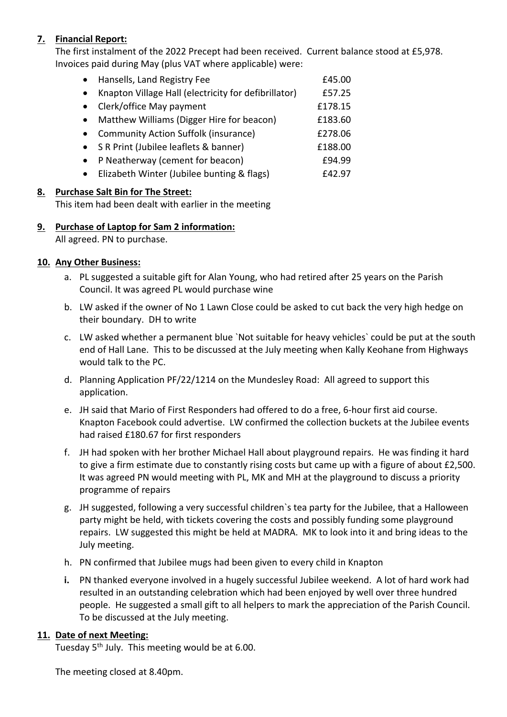### **7. Financial Report:**

The first instalment of the 2022 Precept had been received. Current balance stood at £5,978. Invoices paid during May (plus VAT where applicable) were:

| $\bullet$ | Hansells, Land Registry Fee                          | £45.00  |
|-----------|------------------------------------------------------|---------|
| $\bullet$ | Knapton Village Hall (electricity for defibrillator) | £57.25  |
| $\bullet$ | Clerk/office May payment                             | £178.15 |
| $\bullet$ | Matthew Williams (Digger Hire for beacon)            | £183.60 |
| $\bullet$ | <b>Community Action Suffolk (insurance)</b>          | £278.06 |
| $\bullet$ | S R Print (Jubilee leaflets & banner)                | £188.00 |
| $\bullet$ | P Neatherway (cement for beacon)                     | £94.99  |
| $\bullet$ | Elizabeth Winter (Jubilee bunting & flags)           | £42.97  |

#### **8. Purchase Salt Bin for The Street:**

This item had been dealt with earlier in the meeting

## **9. Purchase of Laptop for Sam 2 information:**

All agreed. PN to purchase.

#### **10. Any Other Business:**

- a. PL suggested a suitable gift for Alan Young, who had retired after 25 years on the Parish Council. It was agreed PL would purchase wine
- b. LW asked if the owner of No 1 Lawn Close could be asked to cut back the very high hedge on their boundary. DH to write
- c. LW asked whether a permanent blue `Not suitable for heavy vehicles` could be put at the south end of Hall Lane. This to be discussed at the July meeting when Kally Keohane from Highways would talk to the PC.
- d. Planning Application PF/22/1214 on the Mundesley Road: All agreed to support this application.
- e. JH said that Mario of First Responders had offered to do a free, 6-hour first aid course. Knapton Facebook could advertise. LW confirmed the collection buckets at the Jubilee events had raised £180.67 for first responders
- f. JH had spoken with her brother Michael Hall about playground repairs. He was finding it hard to give a firm estimate due to constantly rising costs but came up with a figure of about £2,500. It was agreed PN would meeting with PL, MK and MH at the playground to discuss a priority programme of repairs
- g. JH suggested, following a very successful children`s tea party for the Jubilee, that a Halloween party might be held, with tickets covering the costs and possibly funding some playground repairs. LW suggested this might be held at MADRA. MK to look into it and bring ideas to the July meeting.
- h. PN confirmed that Jubilee mugs had been given to every child in Knapton
- **i.** PN thanked everyone involved in a hugely successful Jubilee weekend. A lot of hard work had resulted in an outstanding celebration which had been enjoyed by well over three hundred people. He suggested a small gift to all helpers to mark the appreciation of the Parish Council. To be discussed at the July meeting.

#### **11. Date of next Meeting:**

Tuesday 5<sup>th</sup> July. This meeting would be at 6.00.

The meeting closed at 8.40pm.